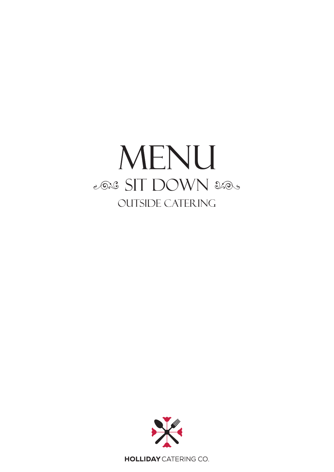# MENU 2026 SIT DOWN 2005 **OUTSIDE CATERING**



**HOLLIDAY** CATERING CO.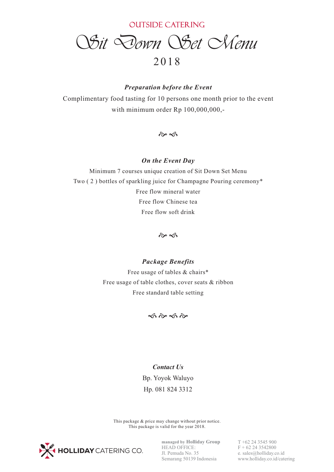*Sit Down Set Menu*

## 20 1 8

### *Preparation before the Event*

Complimentary food tasting for 10 persons one month prior to the event with minimum order  $Rp 100,000,000,$ -

 $\hat{\alpha}$ 

### *On the Event Day*

Minimum 7 courses unique creation of Sit Down Set Menu Two ( 2 ) bottles of sparkling juice for Champagne Pouring ceremony\* Free flow mineral water Free flow Chinese tea Free flow soft drink

 $\hat{\alpha}$ 

## *Package Benefits*

Free usage of tables & chairs\* Free usage of table clothes, cover seats & ribbon Free standard table setting



#### *Contact Us*

Bp. Yoyok Waluyo Hp. 081 824 3312

This package & price may change without prior notice. This package is valid for the year 2018.



**managed by Holliday Group** HEAD OFFICE: Jl. Pemuda No. 35 Semarang 50139 Indonesia

T +62 24 3545 900  $F + 62243542800$ e. sales@holliday.co.id www.holliday.co.id/catering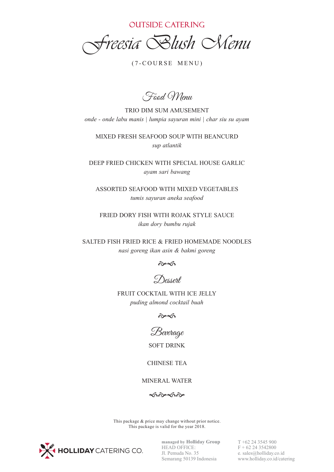*Freesia Blush Menu*

 $(7-COURSE MEMU)$ 

Food Menu

TRIO DIM SUM AMUSEMENT *onde - onde labu manis | lumpia sayuran mini | char siu su ayam*

MIXED FRESH SEAFOOD SOUP WITH BEANCURD *sup atlantik*

DEEP FRIED CHICKEN WITH SPECIAL HOUSE GARLIC *ayam sari bawang*

ASSORTED SEAFOOD WITH MIXED VEGETABLES *tumis sayuran aneka seafood*

FRIED DORY FISH WITH ROJAK STYLE SAUCE *ikan dory bumbu rujak*

SALTED FISH FRIED RICE & FRIED HOMEMADE NOODLES *nasi goreng ikan asin & bakmi goreng*



Dessert

FRUIT COCKTAIL WITH ICE JELLY *puding almond cocktail buah*

 $\hat{\alpha}$ 

Beverage

SOFT DRINK

CHINESE TEA

MINERAL WATER

**خ** به که حض

This package & price may change without prior notice. This package is valid for the year 2018.



**managed by Holliday Group** HEAD OFFICE: Jl. Pemuda No. 35 Semarang 50139 Indonesia T +62 24 3545 900  $F + 62243542800$ e. sales@holliday.co.id www.holliday.co.id/catering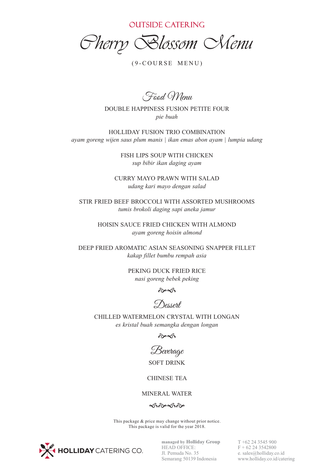*Cherry Blossom Menu*

 $(9-COURSE MEMU)$ 

Food Menu

DOUBLE HAPPINESS FUSION PETITE FOUR *pie buah*

HOLLIDAY FUSION TRIO COMBINATION *ayam goreng wijen saus plum manis | ikan emas abon ayam | lumpia udang*

> FISH LIPS SOUP WITH CHICKEN *sup bibir ikan daging ayam*

CURRY MAYO PRAWN WITH SALAD *udang kari mayo dengan salad*

STIR FRIED BEEF BROCCOLI WITH ASSORTED MUSHROOMS *tumis brokoli daging sapi aneka jamur*

> HOISIN SAUCE FRIED CHICKEN WITH ALMOND *ayam goreng hoisin almond*

DEEP FRIED AROMATIC ASIAN SEASONING SNAPPER FILLET *kakap fillet bumbu rempah asia*

> PEKING DUCK FRIED RICE *nasi goreng bebek peking*

> > $\hat{\sigma}$

Dessert

CHILLED WATERMELON CRYSTAL WITH LONGAN *es kristal buah semangka dengan longan*

 $\hat{\alpha}$ 

Beverage SOFT DRINK

CHINESE TEA

#### MINERAL WATER

 $\hat{\infty}$ 

This package & price may change without prior notice. This package is valid for the year 2018.



**managed by Holliday Group** HEAD OFFICE: Jl. Pemuda No. 35 Semarang 50139 Indonesia T +62 24 3545 900  $F + 62243542800$ e. sales@holliday.co.id www.holliday.co.id/catering